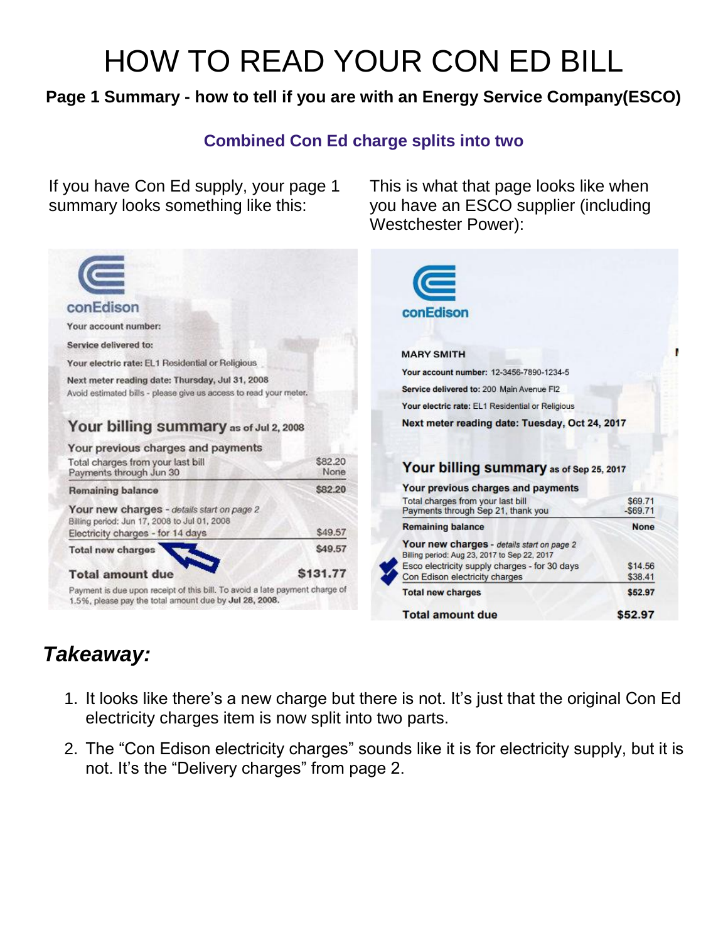# HOW TO READ YOUR CON ED BILL

### **Page 1 Summary - how to tell if you are with an Energy Service Company(ESCO)**

#### **Combined Con Ed charge splits into two**

This is what that page looks like when you have an ESCO supplier (including

Westchester Power):

If you have Con Ed supply, your page 1 summary looks something like this:

| conEdison<br>Your account number:<br>Service delivered to:<br>Your electric rate: EL1 Residential or Religious<br>Next meter reading date: Thursday, Jul 31, 2008<br>Avoid estimated bills - please give us access to read your meter. |                                | $\subset$<br>conEdison<br><b>MARY SMITH</b><br>Your account number: 12-3456-7890-1234-5                                                                                                                   |                                   |
|----------------------------------------------------------------------------------------------------------------------------------------------------------------------------------------------------------------------------------------|--------------------------------|-----------------------------------------------------------------------------------------------------------------------------------------------------------------------------------------------------------|-----------------------------------|
|                                                                                                                                                                                                                                        |                                | Service delivered to: 200 Main Avenue FI2<br>Your electric rate: EL1 Residential or Religious<br>Next meter reading date: Tuesday, Oct 24, 2017                                                           |                                   |
| Your billing summary as of Jul 2, 2008<br>Your previous charges and payments<br>Total charges from your last bill<br>Payments through Jun 30                                                                                           | \$82,20<br>None                | Your billing summary as of Sep 25, 2017                                                                                                                                                                   |                                   |
| Remaining balance<br>Your new charges - details start on page 2<br>Billing period: Jun 17, 2008 to Jul 01, 2008                                                                                                                        | \$82.20                        | Your previous charges and payments<br>Total charges from your last bill<br>Payments through Sep 21, thank you                                                                                             | \$69.71<br>$-$ \$69.71            |
| Electricity charges - for 14 days<br><b>Total new charges</b><br><b>Total amount due</b>                                                                                                                                               | \$49.57<br>\$49.57<br>\$131.77 | <b>Remaining balance</b><br>Your new charges - details start on page 2<br>Billing period: Aug 23, 2017 to Sep 22, 2017<br>Esco electricity supply charges - for 30 days<br>Con Edison electricity charges | <b>None</b><br>\$14.56<br>\$38.41 |
| Payment is due upon receipt of this bill. To avoid a late payment charge of<br>1.5%, please pay the total amount due by Jul 28, 2008.                                                                                                  |                                | <b>Total new charges</b><br><b>Total amount due</b>                                                                                                                                                       | \$52.97<br>\$52.97                |

## *Takeaway:*

- 1. It looks like there's a new charge but there is not. It's just that the original Con Ed electricity charges item is now split into two parts.
- 2. The "Con Edison electricity charges" sounds like it is for electricity supply, but it is not. It's the "Delivery charges" from page 2.